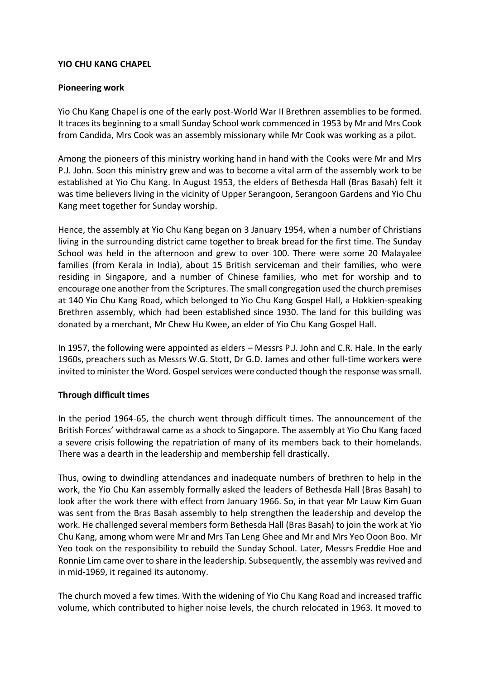## **YIO CHU KANG CHAPEL**

## **Pioneering work**

Yio Chu Kang Chapel is one of the early post-World War II Brethren assemblies to be formed. It traces its beginning to a small Sunday School work commenced in 1953 by Mr and Mrs Cook from Candida, Mrs Cook was an assembly missionary while Mr Cook was working as a pilot.

Among the pioneers of this ministry working hand in hand with the Cooks were Mr and Mrs P.J. John. Soon this ministry grew and was to become a vital arm of the assembly work to be established at Yio Chu Kang. In August 1953, the elders of Bethesda Hall (Bras Basah) felt it was time believers living in the vicinity of Upper Serangoon, Serangoon Gardens and Yio Chu Kang meet together for Sunday worship.

Hence, the assembly at Yio Chu Kang began on 3 January 1954, when a number of Christians living in the surrounding district came together to break bread for the first time. The Sunday School was held in the afternoon and grew to over 100. There were some 20 Malayalee families (from Kerala in India), about 15 British serviceman and their families, who were residing in Singapore, and a number of Chinese families, who met for worship and to encourage one another from the Scriptures. The small congregation used the church premises at 140 Yio Chu Kang Road, which belonged to Yio Chu Kang Gospel Hall, a Hokkien-speaking Brethren assembly, which had been established since 1930. The land for this building was donated by a merchant, Mr Chew Hu Kwee, an elder of Yio Chu Kang Gospel Hall.

In 1957, the following were appointed as elders – Messrs P.J. John and C.R. Hale. In the early 1960s, preachers such as Messrs W.G. Stott, Dr G.D. James and other full-time workers were invited to minister the Word. Gospel services were conducted though the response was small.

## **Through difficult times**

In the period 1964-65, the church went through difficult times. The announcement of the British Forces' withdrawal came as a shock to Singapore. The assembly at Yio Chu Kang faced a severe crisis following the repatriation of many of its members back to their homelands. There was a dearth in the leadership and membership fell drastically.

Thus, owing to dwindling attendances and inadequate numbers of brethren to help in the work, the Yio Chu Kan assembly formally asked the leaders of Bethesda Hall (Bras Basah) to look after the work there with effect from January 1966. So, in that year Mr Lauw Kim Guan was sent from the Bras Basah assembly to help strengthen the leadership and develop the work. He challenged several members form Bethesda Hall (Bras Basah) to join the work at Yio Chu Kang, among whom were Mr and Mrs Tan Leng Ghee and Mr and Mrs Yeo Ooon Boo. Mr Yeo took on the responsibility to rebuild the Sunday School. Later, Messrs Freddie Hoe and Ronnie Lim came over to share in the leadership. Subsequently, the assembly was revived and in mid-1969, it regained its autonomy.

The church moved a few times. With the widening of Yio Chu Kang Road and increased traffic volume, which contributed to higher noise levels, the church relocated in 1963. It moved to